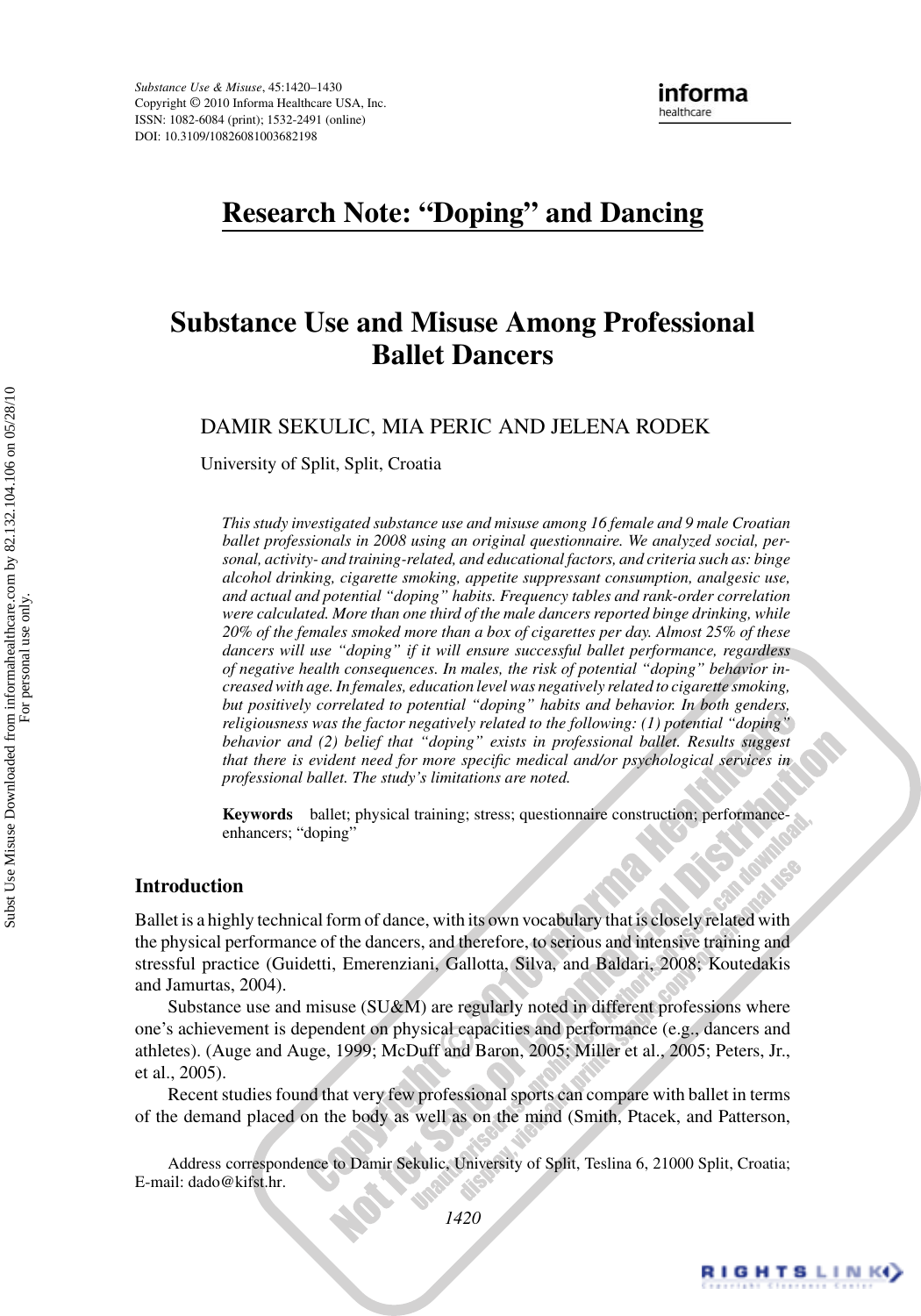# **Research Note: "Doping" and Dancing**

# **Substance Use and Misuse Among Professional Ballet Dancers**

DAMIR SEKULIC, MIA PERIC AND JELENA RODEK

University of Split, Split, Croatia

*This study investigated substance use and misuse among 16 female and 9 male Croatian ballet professionals in 2008 using an original questionnaire. We analyzed social, personal, activity- and training-related, and educational factors, and criteria such as: binge alcohol drinking, cigarette smoking, appetite suppressant consumption, analgesic use, and actual and potential "doping" habits. Frequency tables and rank-order correlation were calculated. More than one third of the male dancers reported binge drinking, while 20% of the females smoked more than a box of cigarettes per day. Almost 25% of these dancers will use "doping" if it will ensure successful ballet performance, regardless of negative health consequences. In males, the risk of potential "doping" behavior increased with age. In females, education level was negatively related to cigarette smoking, but positively correlated to potential "doping" habits and behavior. In both genders, religiousness was the factor negatively related to the following: (1) potential "doping" behavior and (2) belief that "doping" exists in professional ballet. Results suggest that there is evident need for more specific medical and/or psychological services in professional ballet. The study's limitations are noted.*

**Keywords** ballet; physical training; stress; questionnaire construction; performanceenhancers; "doping"

#### **Introduction**

Ballet is a highly technical form of dance, with its own vocabulary that is closely related with the physical performance of the dancers, and therefore, to serious and intensive training and stressful practice (Guidetti, Emerenziani, Gallotta, Silva, and Baldari, 2008; Koutedakis and Jamurtas, 2004).

Substance use and misuse (SU&M) are regularly noted in different professions where one's achievement is dependent on physical capacities and performance (e.g., dancers and athletes). (Auge and Auge, 1999; McDuff and Baron, 2005; Miller et al., 2005; Peters, Jr., et al., 2005).

Recent studies found that very few professional sports can compare with ballet in terms of the demand placed on the body as well as on the mind (Smith, Ptacek, and Patterson,

Address correspondence to Damir Sekulic, University of Split, Teslina 6, 21000 Split, Croatia; E-mail: dado@kifst.hr.

For personal use only.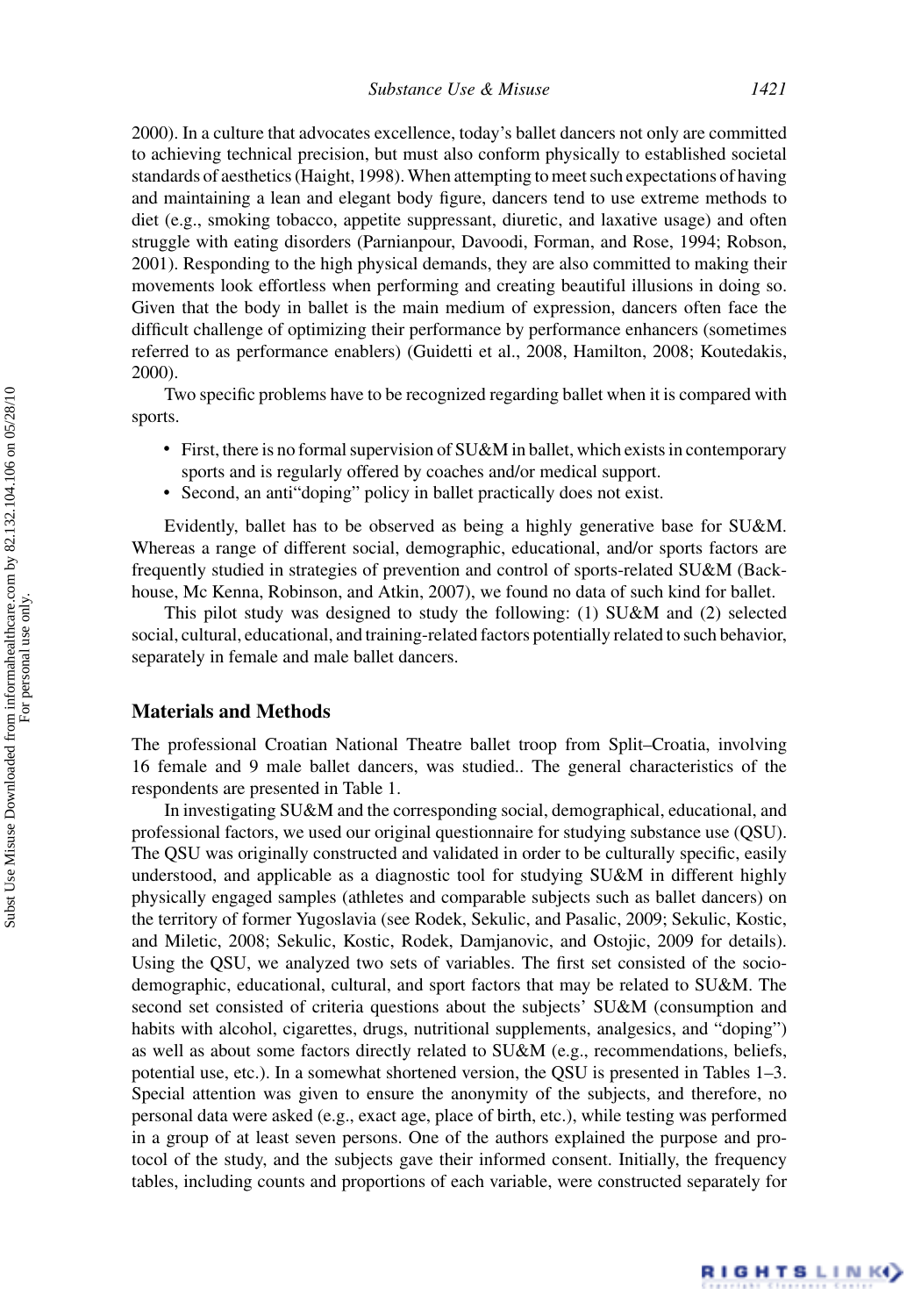2000). In a culture that advocates excellence, today's ballet dancers not only are committed to achieving technical precision, but must also conform physically to established societal standards of aesthetics (Haight, 1998). When attempting to meet such expectations of having and maintaining a lean and elegant body figure, dancers tend to use extreme methods to diet (e.g., smoking tobacco, appetite suppressant, diuretic, and laxative usage) and often struggle with eating disorders (Parnianpour, Davoodi, Forman, and Rose, 1994; Robson, 2001). Responding to the high physical demands, they are also committed to making their movements look effortless when performing and creating beautiful illusions in doing so. Given that the body in ballet is the main medium of expression, dancers often face the difficult challenge of optimizing their performance by performance enhancers (sometimes referred to as performance enablers) (Guidetti et al., 2008, Hamilton, 2008; Koutedakis, 2000).

Two specific problems have to be recognized regarding ballet when it is compared with sports.

- First, there is no formal supervision of SU&M in ballet, which exists in contemporary sports and is regularly offered by coaches and/or medical support.
- Second, an anti"doping" policy in ballet practically does not exist.

Evidently, ballet has to be observed as being a highly generative base for SU&M. Whereas a range of different social, demographic, educational, and/or sports factors are frequently studied in strategies of prevention and control of sports-related SU&M (Backhouse, Mc Kenna, Robinson, and Atkin, 2007), we found no data of such kind for ballet.

This pilot study was designed to study the following: (1) SU&M and (2) selected social, cultural, educational, and training-related factors potentially related to such behavior, separately in female and male ballet dancers.

### **Materials and Methods**

The professional Croatian National Theatre ballet troop from Split–Croatia, involving 16 female and 9 male ballet dancers, was studied.. The general characteristics of the respondents are presented in Table 1.

In investigating SU&M and the corresponding social, demographical, educational, and professional factors, we used our original questionnaire for studying substance use (QSU). The QSU was originally constructed and validated in order to be culturally specific, easily understood, and applicable as a diagnostic tool for studying SU&M in different highly physically engaged samples (athletes and comparable subjects such as ballet dancers) on the territory of former Yugoslavia (see Rodek, Sekulic, and Pasalic, 2009; Sekulic, Kostic, and Miletic, 2008; Sekulic, Kostic, Rodek, Damjanovic, and Ostojic, 2009 for details). Using the QSU, we analyzed two sets of variables. The first set consisted of the sociodemographic, educational, cultural, and sport factors that may be related to SU&M. The second set consisted of criteria questions about the subjects' SU&M (consumption and habits with alcohol, cigarettes, drugs, nutritional supplements, analgesics, and "doping") as well as about some factors directly related to SU&M (e.g., recommendations, beliefs, potential use, etc.). In a somewhat shortened version, the QSU is presented in Tables 1–3. Special attention was given to ensure the anonymity of the subjects, and therefore, no personal data were asked (e.g., exact age, place of birth, etc.), while testing was performed in a group of at least seven persons. One of the authors explained the purpose and protocol of the study, and the subjects gave their informed consent. Initially, the frequency tables, including counts and proportions of each variable, were constructed separately for

RIGHTS LINK()

For personal use only.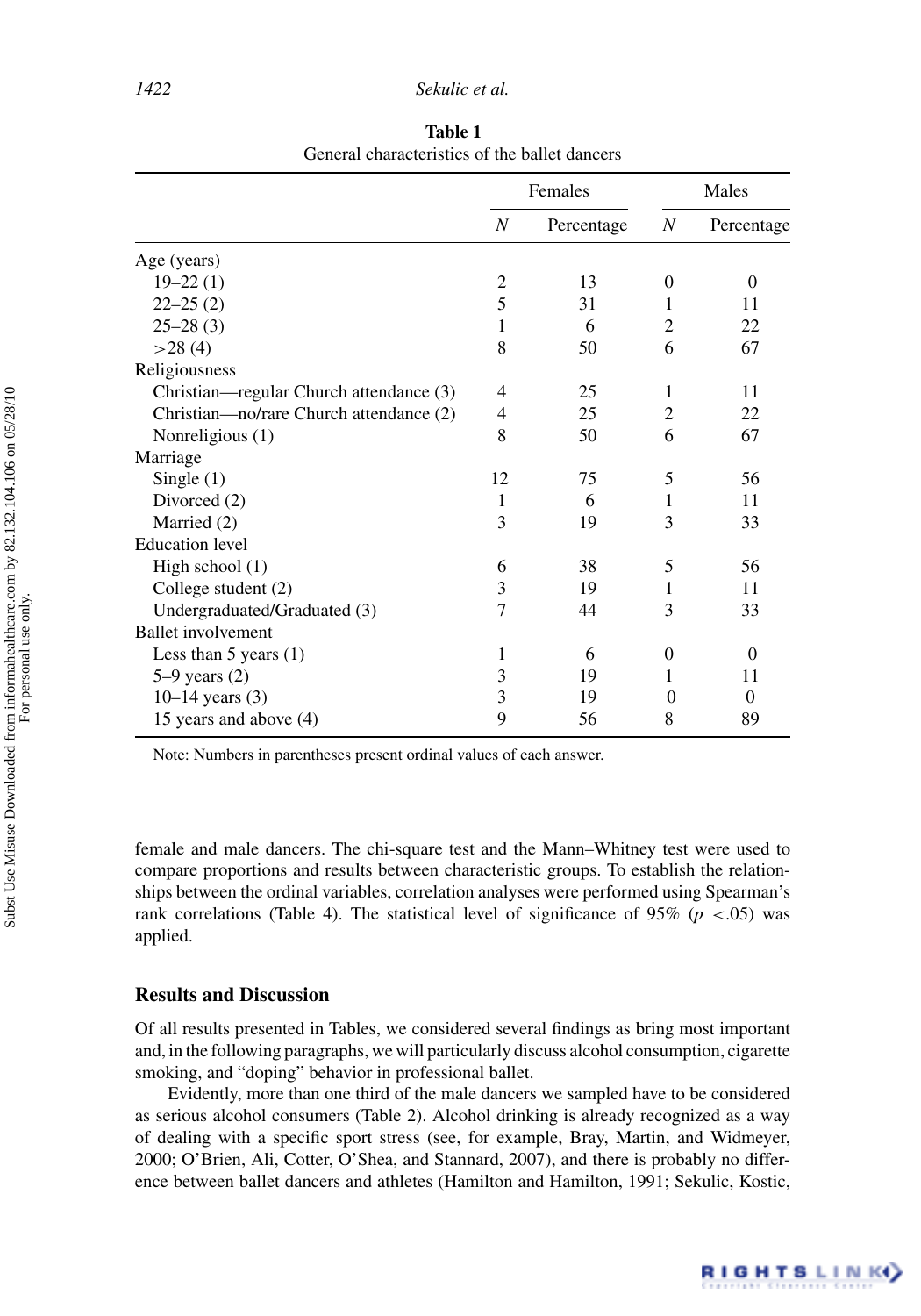|                                         | Females        |            | Males            |            |
|-----------------------------------------|----------------|------------|------------------|------------|
|                                         | N              | Percentage | $\boldsymbol{N}$ | Percentage |
| Age (years)                             |                |            |                  |            |
| $19 - 22(1)$                            | $\overline{2}$ | 13         | $\Omega$         | $\theta$   |
| $22 - 25(2)$                            | 5              | 31         | 1                | 11         |
| $25 - 28(3)$                            | 1              | 6          | $\overline{2}$   | 22         |
| >28(4)                                  | 8              | 50         | 6                | 67         |
| Religiousness                           |                |            |                  |            |
| Christian—regular Church attendance (3) | 4              | 25         | 1                | 11         |
| Christian-no/rare Church attendance (2) | 4              | 25         | $\overline{2}$   | 22         |
| Nonreligious (1)                        | 8              | 50         | 6                | 67         |
| Marriage                                |                |            |                  |            |
| Single $(1)$                            | 12             | 75         | 5                | 56         |
| Divorced (2)                            | 1              | 6          | 1                | 11         |
| Married (2)                             | 3              | 19         | 3                | 33         |
| <b>Education</b> level                  |                |            |                  |            |
| High school $(1)$                       | 6              | 38         | 5                | 56         |
| College student (2)                     | 3              | 19         | 1                | 11         |
| Undergraduated/Graduated (3)            | 7              | 44         | 3                | 33         |
| <b>Ballet</b> involvement               |                |            |                  |            |
| Less than $5$ years $(1)$               | 1              | 6          | $\theta$         | $\Omega$   |
| $5-9$ years $(2)$                       | 3              | 19         | 1                | 11         |
| $10-14$ years $(3)$                     | 3              | 19         | $\Omega$         | $\theta$   |
| 15 years and above (4)                  | 9              | 56         | 8                | 89         |

**Table 1** General characteristics of the ballet dancers

Note: Numbers in parentheses present ordinal values of each answer.

female and male dancers. The chi-square test and the Mann–Whitney test were used to compare proportions and results between characteristic groups. To establish the relationships between the ordinal variables, correlation analyses were performed using Spearman's rank correlations (Table 4). The statistical level of significance of 95% ( $p <$  0.05) was applied.

### **Results and Discussion**

Of all results presented in Tables, we considered several findings as bring most important and, in the following paragraphs, we will particularly discuss alcohol consumption, cigarette smoking, and "doping" behavior in professional ballet.

Evidently, more than one third of the male dancers we sampled have to be considered as serious alcohol consumers (Table 2). Alcohol drinking is already recognized as a way of dealing with a specific sport stress (see, for example, Bray, Martin, and Widmeyer, 2000; O'Brien, Ali, Cotter, O'Shea, and Stannard, 2007), and there is probably no difference between ballet dancers and athletes (Hamilton and Hamilton, 1991; Sekulic, Kostic,

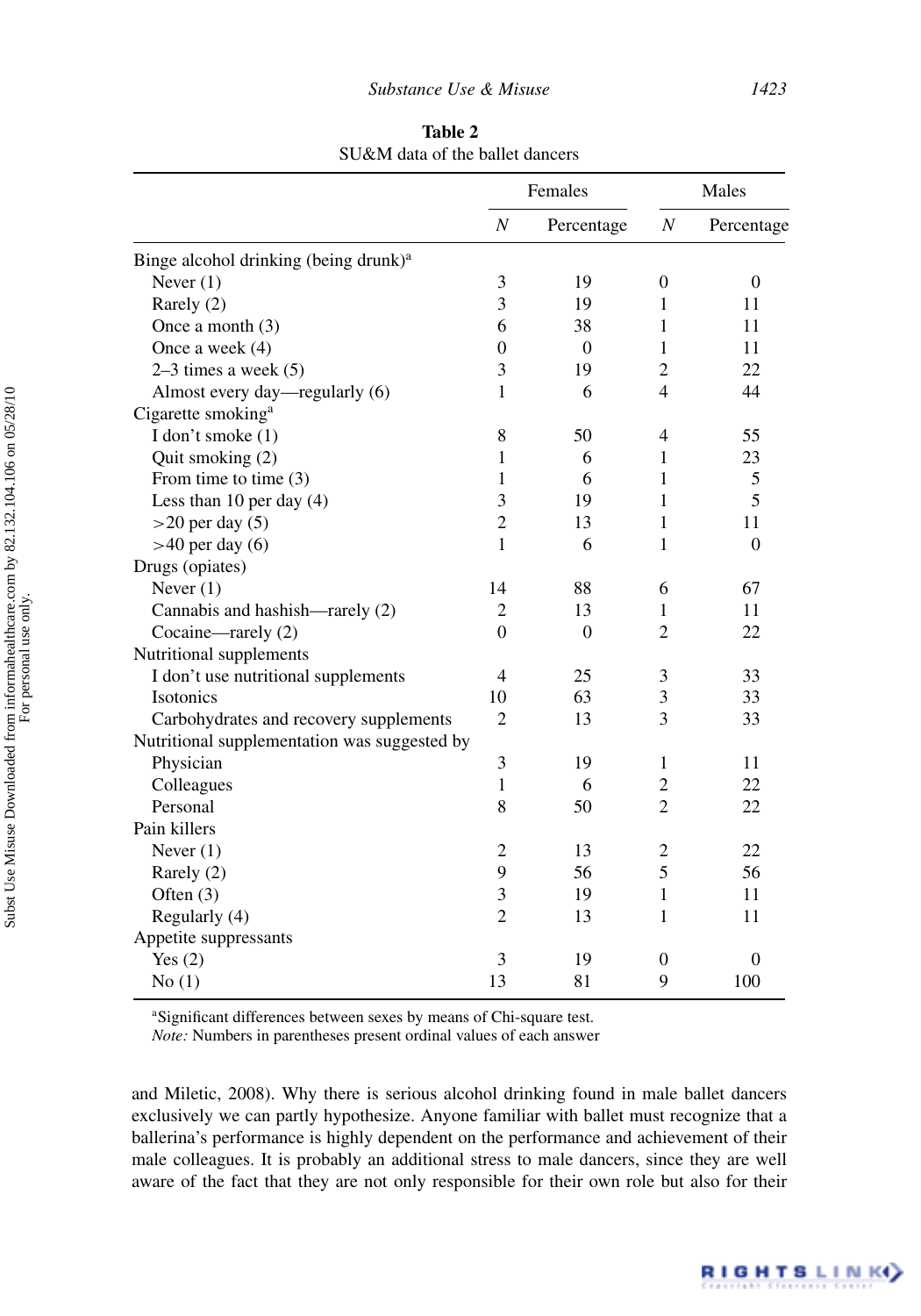|                                                   | Females          |            | Males            |                  |
|---------------------------------------------------|------------------|------------|------------------|------------------|
|                                                   | $\boldsymbol{N}$ | Percentage | $\boldsymbol{N}$ | Percentage       |
| Binge alcohol drinking (being drunk) <sup>a</sup> |                  |            |                  |                  |
| Never $(1)$                                       | 3                | 19         | $\boldsymbol{0}$ | $\mathbf{0}$     |
| Rarely (2)                                        | $\overline{3}$   | 19         | 1                | 11               |
| Once a month $(3)$                                | 6                | 38         | 1                | 11               |
| Once a week $(4)$                                 | $\boldsymbol{0}$ | 0          | 1                | 11               |
| $2-3$ times a week $(5)$                          | 3                | 19         | 2                | 22               |
| Almost every day—regularly (6)                    | 1                | 6          | $\overline{4}$   | 44               |
| Cigarette smoking <sup>a</sup>                    |                  |            |                  |                  |
| I don't smoke (1)                                 | 8                | 50         | 4                | 55               |
| Quit smoking (2)                                  | 1                | 6          | 1                | 23               |
| From time to time $(3)$                           | 1                | 6          | 1                | 5                |
| Less than 10 per day $(4)$                        | 3                | 19         | 1                | 5                |
| $>20$ per day (5)                                 | $\overline{2}$   | 13         | 1                | 11               |
| $>40$ per day (6)                                 | $\mathbf{1}$     | 6          | 1                | $\overline{0}$   |
| Drugs (opiates)                                   |                  |            |                  |                  |
| Never $(1)$                                       | 14               | 88         | 6                | 67               |
| Cannabis and hashish—rarely (2)                   | $\overline{c}$   | 13         | 1                | 11               |
| Cocaine—rarely (2)                                | $\boldsymbol{0}$ | $\theta$   | $\overline{c}$   | 22               |
| Nutritional supplements                           |                  |            |                  |                  |
| I don't use nutritional supplements               | 4                | 25         | 3                | 33               |
| Isotonics                                         | 10               | 63         | 3                | 33               |
| Carbohydrates and recovery supplements            | $\overline{2}$   | 13         | 3                | 33               |
| Nutritional supplementation was suggested by      |                  |            |                  |                  |
| Physician                                         | $\mathfrak{Z}$   | 19         | $\mathbf{1}$     | 11               |
| Colleagues                                        | 1                | 6          | 2                | 22               |
| Personal                                          | 8                | 50         | $\overline{c}$   | 22               |
| Pain killers                                      |                  |            |                  |                  |
| Never $(1)$                                       | 2                | 13         | 2                | 22               |
| Rarely (2)                                        | 9                | 56         | 5                | 56               |
| Often $(3)$                                       | 3                | 19         | $\mathbf{1}$     | 11               |
| Regularly (4)                                     | $\overline{2}$   | 13         | $\mathbf{1}$     | 11               |
| Appetite suppressants                             |                  |            |                  |                  |
| Yes $(2)$                                         | 3                | 19         | $\boldsymbol{0}$ | $\boldsymbol{0}$ |
| No(1)                                             | 13               | 81         | 9                | 100              |

**Table 2** SU&M data of the ballet dancers

a Significant differences between sexes by means of Chi-square test.

*Note:* Numbers in parentheses present ordinal values of each answer

and Miletic, 2008). Why there is serious alcohol drinking found in male ballet dancers exclusively we can partly hypothesize. Anyone familiar with ballet must recognize that a ballerina's performance is highly dependent on the performance and achievement of their male colleagues. It is probably an additional stress to male dancers, since they are well aware of the fact that they are not only responsible for their own role but also for their

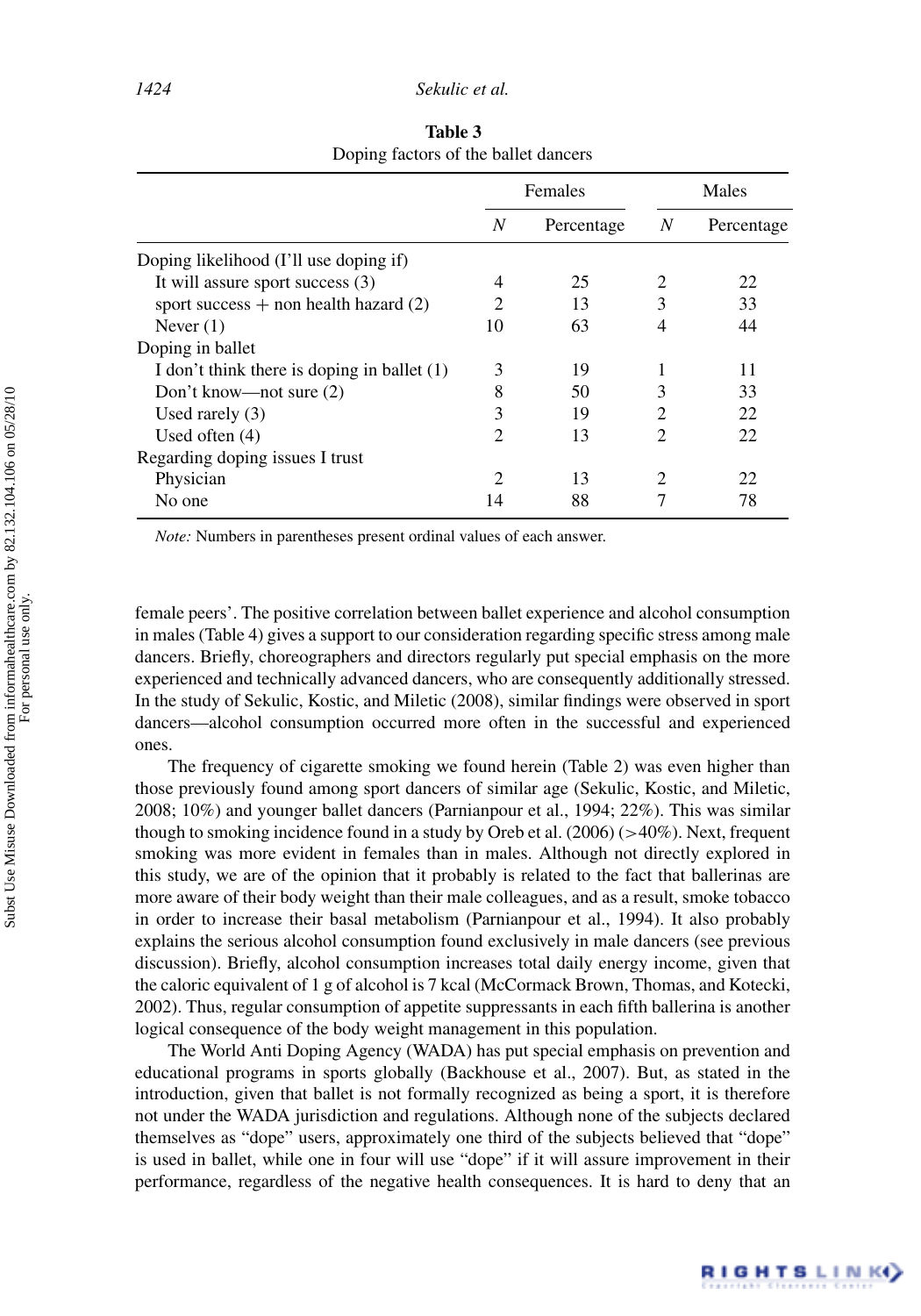|                                             | Females                     |            | Males          |            |
|---------------------------------------------|-----------------------------|------------|----------------|------------|
|                                             | N                           | Percentage | N              | Percentage |
| Doping likelihood (I'll use doping if)      |                             |            |                |            |
| It will assure sport success (3)            |                             | 25         | 2              | 22         |
| sport success $+$ non health hazard (2)     | 2                           | 13         | 3              | 33         |
| Never $(1)$                                 | 10                          | 63         | 4              | 44         |
| Doping in ballet                            |                             |            |                |            |
| I don't think there is doping in ballet (1) | 3                           | 19         |                | 11         |
| Don't know—not sure (2)                     | 8                           | 50         | 3              | 33         |
| Used rarely $(3)$                           | 3                           | 19         | 2              | 22         |
| Used often $(4)$                            | $\mathcal{D}_{\mathcal{A}}$ | 13         | $\mathfrak{D}$ | 22         |
| Regarding doping issues I trust             |                             |            |                |            |
| Physician                                   | າ                           | 13         | $\mathfrak{D}$ | 22         |
| No one                                      | 4                           | 88         |                | 78         |

**Table 3** Doping factors of the ballet dancers

*Note:* Numbers in parentheses present ordinal values of each answer.

female peers'. The positive correlation between ballet experience and alcohol consumption in males (Table 4) gives a support to our consideration regarding specific stress among male dancers. Briefly, choreographers and directors regularly put special emphasis on the more experienced and technically advanced dancers, who are consequently additionally stressed. In the study of Sekulic, Kostic, and Miletic (2008), similar findings were observed in sport dancers—alcohol consumption occurred more often in the successful and experienced ones.

The frequency of cigarette smoking we found herein (Table 2) was even higher than those previously found among sport dancers of similar age (Sekulic, Kostic, and Miletic, 2008; 10%) and younger ballet dancers (Parnianpour et al., 1994; 22%). This was similar though to smoking incidence found in a study by Oreb et al. (2006) (*>*40%). Next, frequent smoking was more evident in females than in males. Although not directly explored in this study, we are of the opinion that it probably is related to the fact that ballerinas are more aware of their body weight than their male colleagues, and as a result, smoke tobacco in order to increase their basal metabolism (Parnianpour et al., 1994). It also probably explains the serious alcohol consumption found exclusively in male dancers (see previous discussion). Briefly, alcohol consumption increases total daily energy income, given that the caloric equivalent of 1 g of alcohol is 7 kcal (McCormack Brown, Thomas, and Kotecki, 2002). Thus, regular consumption of appetite suppressants in each fifth ballerina is another logical consequence of the body weight management in this population.

The World Anti Doping Agency (WADA) has put special emphasis on prevention and educational programs in sports globally (Backhouse et al., 2007). But, as stated in the introduction, given that ballet is not formally recognized as being a sport, it is therefore not under the WADA jurisdiction and regulations. Although none of the subjects declared themselves as "dope" users, approximately one third of the subjects believed that "dope" is used in ballet, while one in four will use "dope" if it will assure improvement in their performance, regardless of the negative health consequences. It is hard to deny that an

RIGHTS LINK()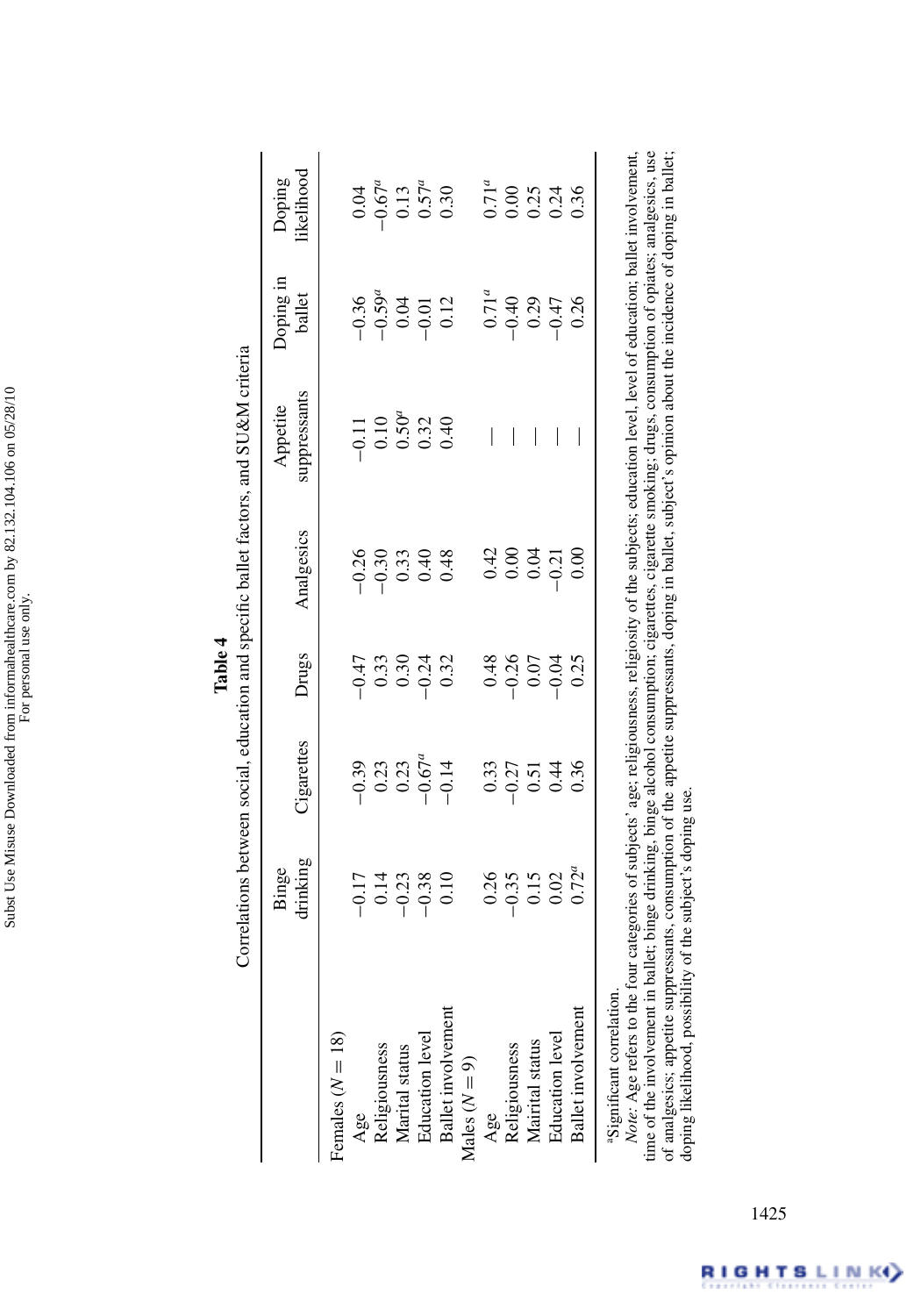|                                                          |                                                                                                                                                                                                                                                                                                                                   |                                                    |                                          |                | Correlations between social, education and specific ballet factors, and SU&M criteria                                              |                                                        |                                                                                         |
|----------------------------------------------------------|-----------------------------------------------------------------------------------------------------------------------------------------------------------------------------------------------------------------------------------------------------------------------------------------------------------------------------------|----------------------------------------------------|------------------------------------------|----------------|------------------------------------------------------------------------------------------------------------------------------------|--------------------------------------------------------|-----------------------------------------------------------------------------------------|
|                                                          | drinking<br>Binge                                                                                                                                                                                                                                                                                                                 | Cigarettes                                         | Drugs                                    | Analgesics     | suppressants<br>Appetite                                                                                                           | Doping in<br>ballet                                    | ikelihood<br>Doping                                                                     |
|                                                          |                                                                                                                                                                                                                                                                                                                                   |                                                    |                                          |                |                                                                                                                                    |                                                        |                                                                                         |
| Females $(N = 18)$                                       |                                                                                                                                                                                                                                                                                                                                   |                                                    |                                          |                |                                                                                                                                    |                                                        |                                                                                         |
| Age                                                      |                                                                                                                                                                                                                                                                                                                                   |                                                    |                                          |                |                                                                                                                                    |                                                        |                                                                                         |
| Religiousness                                            |                                                                                                                                                                                                                                                                                                                                   |                                                    |                                          |                |                                                                                                                                    |                                                        |                                                                                         |
| Marital status                                           |                                                                                                                                                                                                                                                                                                                                   |                                                    |                                          |                |                                                                                                                                    |                                                        |                                                                                         |
| <b>Education</b> level                                   | $\begin{array}{c} 174 \\ - 174 \\ - 0.08 \\ - 0.08 \\ - 0.08 \\ - 0.08 \\ - 0.08 \\ - 0.08 \\ - 0.08 \\ - 0.08 \\ - 0.08 \\ - 0.08 \\ - 0.08 \\ - 0.08 \\ - 0.08 \\ - 0.08 \\ - 0.08 \\ - 0.08 \\ - 0.08 \\ - 0.08 \\ - 0.08 \\ - 0.08 \\ - 0.08 \\ - 0.08 \\ - 0.08 \\ - 0.08 \\ - 0.08 \\ - 0.08 \\ - 0.08 \\ - 0.08 \\ - 0.08$ | $-0.39$<br>$0.23$<br>$0.25$<br>$-0.514$<br>$-0.14$ | $-0.33$<br>$-0.30$<br>$-0.32$<br>$-0.32$ |                |                                                                                                                                    | $-0.36$<br>$-0.59$ <sup>d</sup><br>$-0.012$<br>$-0.12$ | $0.04$<br>$-0.67$ <sup><i>a</i></sup><br>$0.13$<br>$0.57$ <sup><i>a</i></sup><br>$0.30$ |
| Ballet involvement                                       |                                                                                                                                                                                                                                                                                                                                   |                                                    |                                          |                |                                                                                                                                    |                                                        |                                                                                         |
| Males $(N = 9)$                                          |                                                                                                                                                                                                                                                                                                                                   |                                                    |                                          |                |                                                                                                                                    |                                                        |                                                                                         |
| Age                                                      |                                                                                                                                                                                                                                                                                                                                   |                                                    |                                          |                | I                                                                                                                                  |                                                        |                                                                                         |
| Religiousness                                            |                                                                                                                                                                                                                                                                                                                                   |                                                    |                                          | $0.42$<br>0.00 | I                                                                                                                                  |                                                        |                                                                                         |
| Mairital status                                          |                                                                                                                                                                                                                                                                                                                                   |                                                    |                                          |                | $\overline{\phantom{a}}$                                                                                                           |                                                        |                                                                                         |
| <b>Education</b> level                                   | $0.35$<br>$-0.35$<br>$0.02$<br>$0.72^a$                                                                                                                                                                                                                                                                                           | $0.33$<br>$-0.51$<br>$0.54$<br>$0.36$              | $0.48$<br>$-0.26$<br>$-0.07$<br>$-0.04$  | $-0.21$        |                                                                                                                                    | $0.71^a$<br>$0.40$<br>$0.29$<br>$0.47$                 | $0.71^a$<br>$0.023$<br>$0.336$<br>$0.36$                                                |
| Ballet involvement                                       |                                                                                                                                                                                                                                                                                                                                   |                                                    | 0.25                                     | 0.00           |                                                                                                                                    | 0.26                                                   |                                                                                         |
| Note: Age refers to the fou<br>aSignificant correlation. |                                                                                                                                                                                                                                                                                                                                   |                                                    |                                          |                | r categories of subjects' age; religiousness, religiosity of the subjects; education level, level of education; ballet involvement |                                                        |                                                                                         |

| Table | social, education and specific ballet factors |
|-------|-----------------------------------------------|
|-------|-----------------------------------------------|

time of the involvement in ballet; binge drinking, binge alcohol consumption; cigarettes, cigarette smoking; drugs, consumption of opiates; analgesics, use<br>of analgesics; appetite suppressants, consumption of the appetite time of the involvement in ballet; binge drinking, binge alcohol consumption; cigarettes, cigarette smoking; drugs, consumption of opiates; analgesics, use of analgesics; appetite suppressants, consumption of the appetite suppressants, doping in ballet, subject's opinion about the incidence of doping in ballet; doping likelihood, possibility of the subject's doping use.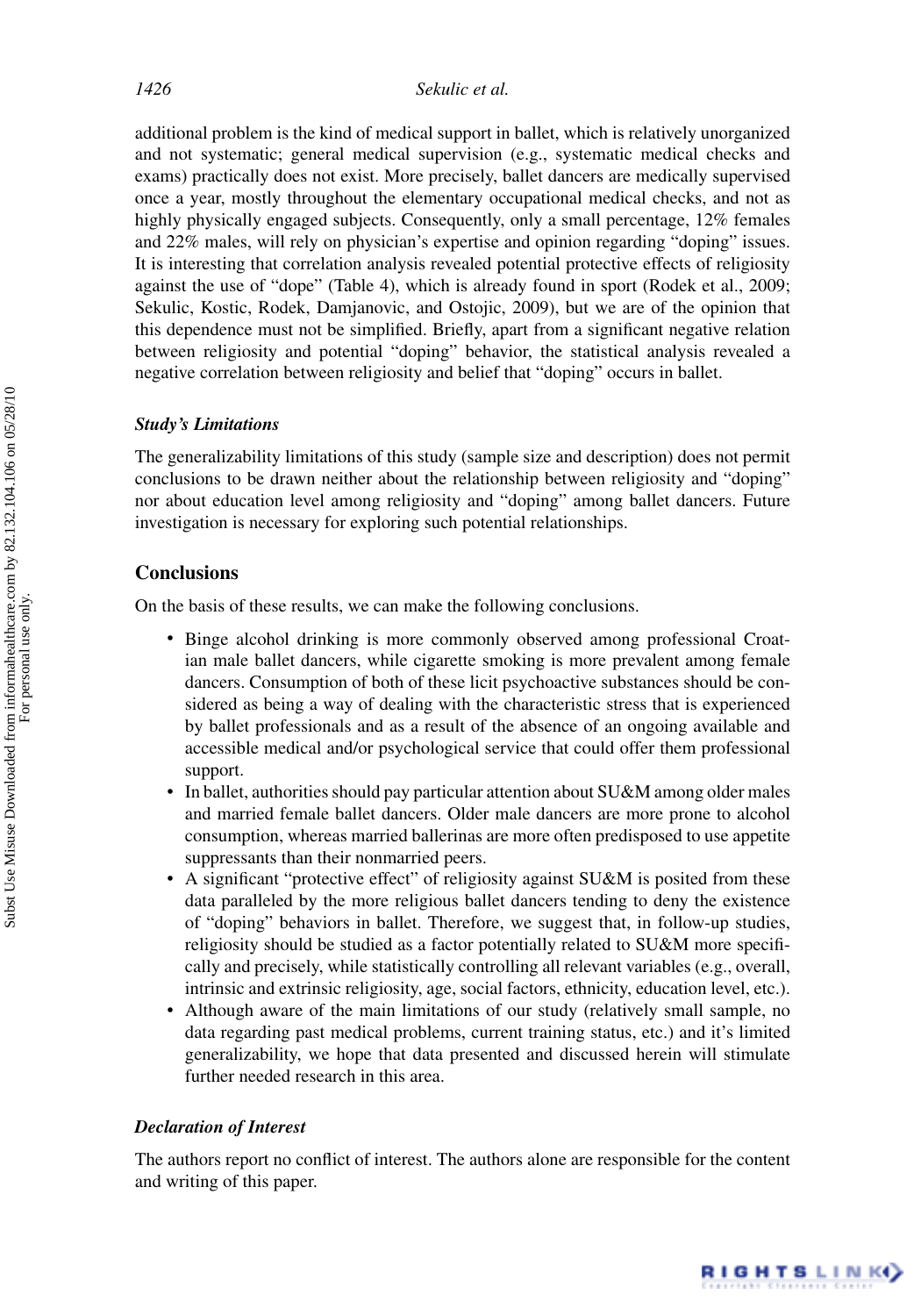additional problem is the kind of medical support in ballet, which is relatively unorganized and not systematic; general medical supervision (e.g., systematic medical checks and exams) practically does not exist. More precisely, ballet dancers are medically supervised once a year, mostly throughout the elementary occupational medical checks, and not as highly physically engaged subjects. Consequently, only a small percentage, 12% females and 22% males, will rely on physician's expertise and opinion regarding "doping" issues. It is interesting that correlation analysis revealed potential protective effects of religiosity against the use of "dope" (Table 4), which is already found in sport (Rodek et al., 2009; Sekulic, Kostic, Rodek, Damjanovic, and Ostojic, 2009), but we are of the opinion that this dependence must not be simplified. Briefly, apart from a significant negative relation between religiosity and potential "doping" behavior, the statistical analysis revealed a negative correlation between religiosity and belief that "doping" occurs in ballet.

### *Study's Limitations*

The generalizability limitations of this study (sample size and description) does not permit conclusions to be drawn neither about the relationship between religiosity and "doping" nor about education level among religiosity and "doping" among ballet dancers. Future investigation is necessary for exploring such potential relationships.

### **Conclusions**

On the basis of these results, we can make the following conclusions.

- Binge alcohol drinking is more commonly observed among professional Croatian male ballet dancers, while cigarette smoking is more prevalent among female dancers. Consumption of both of these licit psychoactive substances should be considered as being a way of dealing with the characteristic stress that is experienced by ballet professionals and as a result of the absence of an ongoing available and accessible medical and/or psychological service that could offer them professional support.
- In ballet, authorities should pay particular attention about SU&M among older males and married female ballet dancers. Older male dancers are more prone to alcohol consumption, whereas married ballerinas are more often predisposed to use appetite suppressants than their nonmarried peers.
- A significant "protective effect" of religiosity against SU&M is posited from these data paralleled by the more religious ballet dancers tending to deny the existence of "doping" behaviors in ballet. Therefore, we suggest that, in follow-up studies, religiosity should be studied as a factor potentially related to SU&M more specifically and precisely, while statistically controlling all relevant variables (e.g., overall, intrinsic and extrinsic religiosity, age, social factors, ethnicity, education level, etc.).
- Although aware of the main limitations of our study (relatively small sample, no data regarding past medical problems, current training status, etc.) and it's limited generalizability, we hope that data presented and discussed herein will stimulate further needed research in this area.

### *Declaration of Interest*

The authors report no conflict of interest. The authors alone are responsible for the content and writing of this paper.

RIGHTS LINK()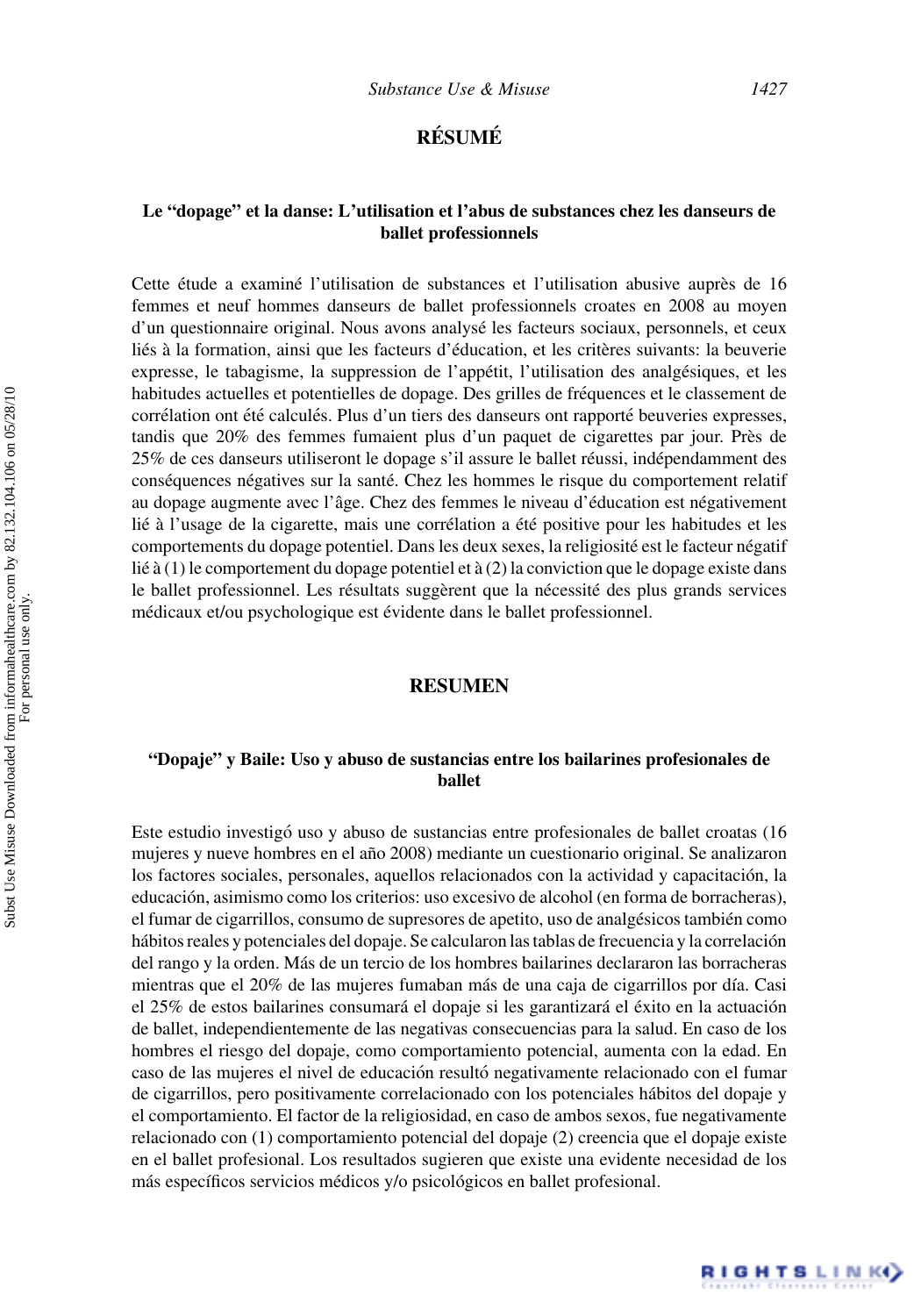## **RÉSUMÉ**

### **Le "dopage" et la danse: L'utilisation et l'abus de substances chez les danseurs de ballet professionnels**

Cette étude a examiné l'utilisation de substances et l'utilisation abusive auprès de 16 femmes et neuf hommes danseurs de ballet professionnels croates en 2008 au moyen d'un questionnaire original. Nous avons analyse les facteurs sociaux, personnels, et ceux ´ liés à la formation, ainsi que les facteurs d'éducation, et les critères suivants: la beuverie expresse, le tabagisme, la suppression de l'appétit, l'utilisation des analgésiques, et les habitudes actuelles et potentielles de dopage. Des grilles de frequences et le classement de ´ corrélation ont été calculés. Plus d'un tiers des danseurs ont rapporté beuveries expresses, tandis que 20% des femmes fumaient plus d'un paquet de cigarettes par jour. Pres de ` 25% de ces danseurs utiliseront le dopage s'il assure le ballet réussi, indépendamment des conséquences négatives sur la santé. Chez les hommes le risque du comportement relatif au dopage augmente avec l'âge. Chez des femmes le niveau d'éducation est négativement lié à l'usage de la cigarette, mais une corrélation a été positive pour les habitudes et les comportements du dopage potentiel. Dans les deux sexes, la religiosité est le facteur négatif lié à (1) le comportement du dopage potentiel et à (2) la conviction que le dopage existe dans le ballet professionnel. Les résultats suggèrent que la nécessité des plus grands services médicaux et/ou psychologique est évidente dans le ballet professionnel.

### **RESUMEN**

### **"Dopaje" y Baile: Uso y abuso de sustancias entre los bailarines profesionales de ballet**

Este estudio investigó uso y abuso de sustancias entre profesionales de ballet croatas (16 mujeres y nueve hombres en el año 2008) mediante un cuestionario original. Se analizaron los factores sociales, personales, aquellos relacionados con la actividad y capacitación, la educación, asimismo como los criterios: uso excesivo de alcohol (en forma de borracheras), el fumar de cigarrillos, consumo de supresores de apetito, uso de analgésicos también como hábitos reales y potenciales del dopaje. Se calcularon las tablas de frecuencia y la correlación del rango y la orden. Más de un tercio de los hombres bailarines declararon las borracheras mientras que el 20% de las mujeres fumaban más de una caja de cigarrillos por día. Casi el 25% de estos bailarines consumará el dopaje si les garantizará el éxito en la actuación de ballet, independientemente de las negativas consecuencias para la salud. En caso de los hombres el riesgo del dopaje, como comportamiento potencial, aumenta con la edad. En caso de las mujeres el nivel de educación resultó negativamente relacionado con el fumar de cigarrillos, pero positivamente correlacionado con los potenciales habitos del dopaje y ´ el comportamiento. El factor de la religiosidad, en caso de ambos sexos, fue negativamente relacionado con (1) comportamiento potencial del dopaje (2) creencia que el dopaje existe en el ballet profesional. Los resultados sugieren que existe una evidente necesidad de los más específicos servicios médicos y/o psicológicos en ballet profesional.

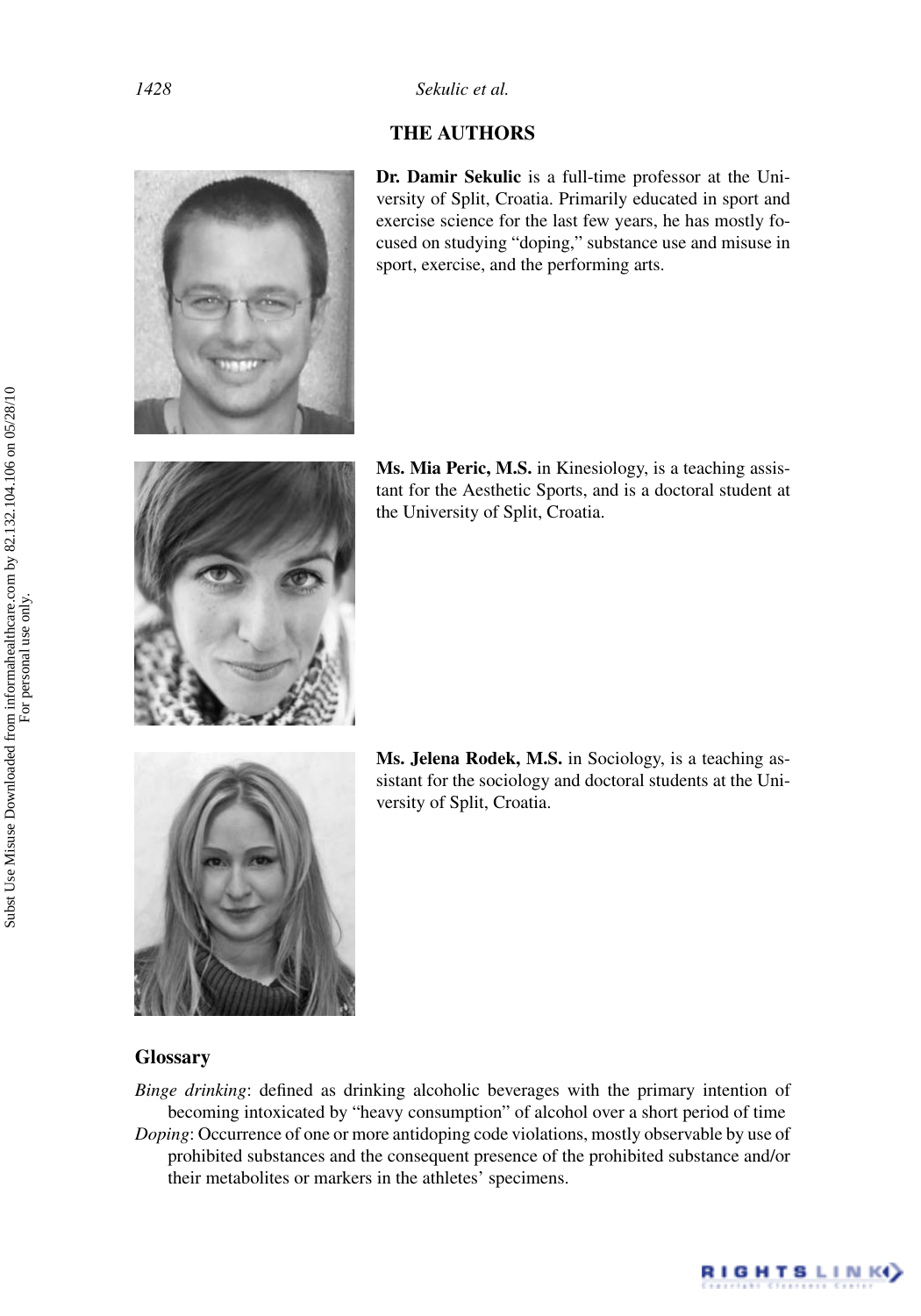## **THE AUTHORS**



**Dr. Damir Sekulic** is a full-time professor at the University of Split, Croatia. Primarily educated in sport and exercise science for the last few years, he has mostly focused on studying "doping," substance use and misuse in sport, exercise, and the performing arts.



**Ms. Mia Peric, M.S.** in Kinesiology, is a teaching assistant for the Aesthetic Sports, and is a doctoral student at the University of Split, Croatia.



**Ms. Jelena Rodek, M.S.** in Sociology, is a teaching assistant for the sociology and doctoral students at the University of Split, Croatia.

RIGHTS LINK()

### **Glossary**

*Binge drinking*: defined as drinking alcoholic beverages with the primary intention of becoming intoxicated by "heavy consumption" of alcohol over a short period of time *Doping*: Occurrence of one or more antidoping code violations, mostly observable by use of prohibited substances and the consequent presence of the prohibited substance and/or their metabolites or markers in the athletes' specimens.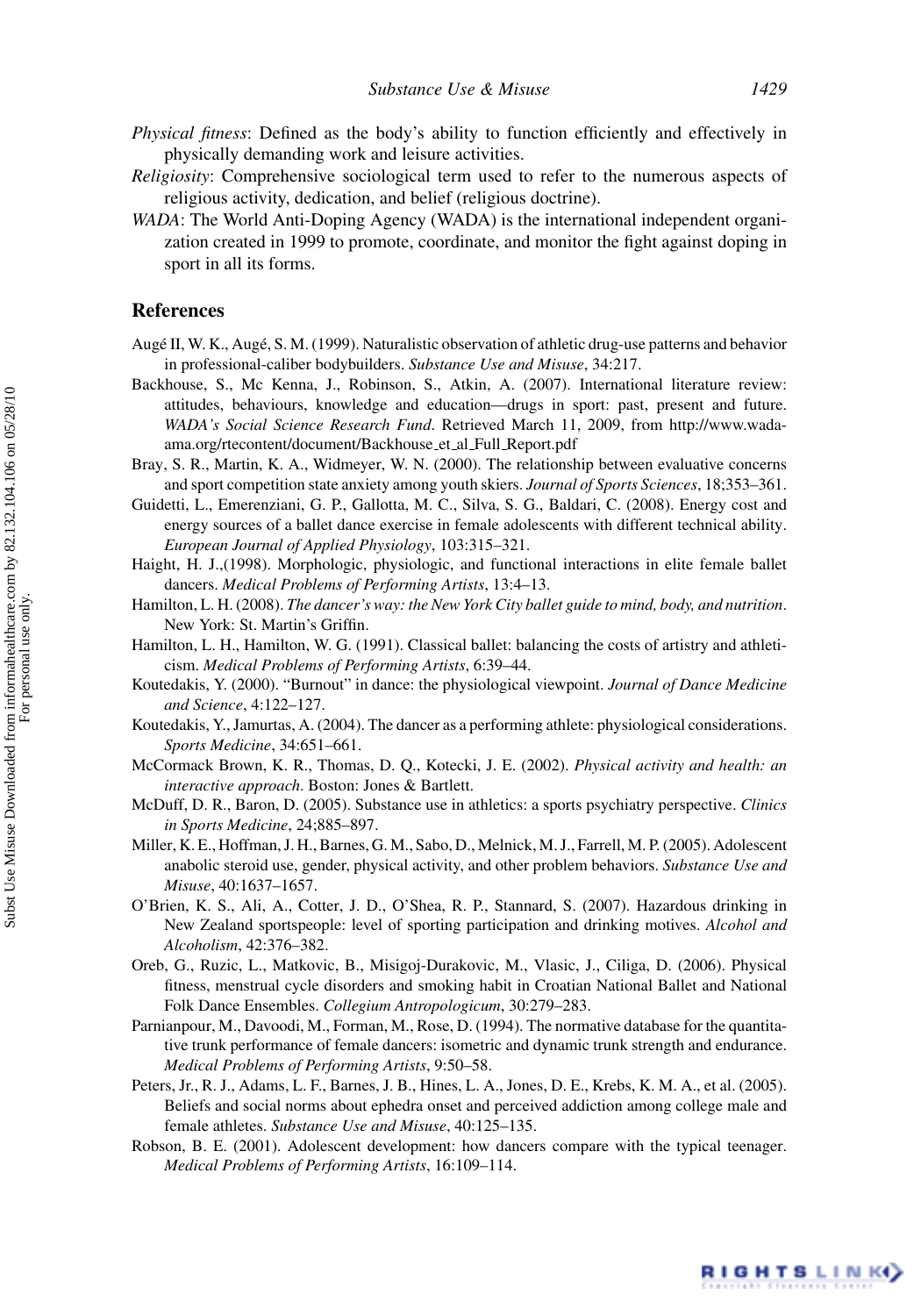- *Physical fitness*: Defined as the body's ability to function efficiently and effectively in physically demanding work and leisure activities.
- *Religiosity*: Comprehensive sociological term used to refer to the numerous aspects of religious activity, dedication, and belief (religious doctrine).
- *WADA*: The World Anti-Doping Agency (WADA) is the international independent organization created in 1999 to promote, coordinate, and monitor the fight against doping in sport in all its forms.

### **References**

- Augé II, W. K., Augé, S. M. (1999). Naturalistic observation of athletic drug-use patterns and behavior in professional-caliber bodybuilders. *Substance Use and Misuse*, 34:217.
- Backhouse, S., Mc Kenna, J., Robinson, S., Atkin, A. (2007). International literature review: attitudes, behaviours, knowledge and education—drugs in sport: past, present and future. *WADA's Social Science Research Fund*. Retrieved March 11, 2009, from http://www.wadaama.org/rtecontent/document/Backhouse et al Full Report.pdf
- Bray, S. R., Martin, K. A., Widmeyer, W. N. (2000). The relationship between evaluative concerns and sport competition state anxiety among youth skiers. *Journal of Sports Sciences*, 18;353–361.
- Guidetti, L., Emerenziani, G. P., Gallotta, M. C., Silva, S. G., Baldari, C. (2008). Energy cost and energy sources of a ballet dance exercise in female adolescents with different technical ability. *European Journal of Applied Physiology*, 103:315–321.
- Haight, H. J.,(1998). Morphologic, physiologic, and functional interactions in elite female ballet dancers. *Medical Problems of Performing Artists*, 13:4–13.
- Hamilton, L. H. (2008). *The dancer's way: the New York City ballet guide to mind, body, and nutrition*. New York: St. Martin's Griffin.
- Hamilton, L. H., Hamilton, W. G. (1991). Classical ballet: balancing the costs of artistry and athleticism. *Medical Problems of Performing Artists*, 6:39–44.
- Koutedakis, Y. (2000). "Burnout" in dance: the physiological viewpoint. *Journal of Dance Medicine and Science*, 4:122–127.
- Koutedakis, Y., Jamurtas, A. (2004). The dancer as a performing athlete: physiological considerations. *Sports Medicine*, 34:651–661.
- McCormack Brown, K. R., Thomas, D. Q., Kotecki, J. E. (2002). *Physical activity and health: an interactive approach*. Boston: Jones & Bartlett.
- McDuff, D. R., Baron, D. (2005). Substance use in athletics: a sports psychiatry perspective. *Clinics in Sports Medicine*, 24;885–897.
- Miller, K. E., Hoffman, J. H., Barnes, G. M., Sabo, D., Melnick, M. J., Farrell, M. P. (2005). Adolescent anabolic steroid use, gender, physical activity, and other problem behaviors. *Substance Use and Misuse*, 40:1637–1657.
- O'Brien, K. S., Ali, A., Cotter, J. D., O'Shea, R. P., Stannard, S. (2007). Hazardous drinking in New Zealand sportspeople: level of sporting participation and drinking motives. *Alcohol and Alcoholism*, 42:376–382.
- Oreb, G., Ruzic, L., Matkovic, B., Misigoj-Durakovic, M., Vlasic, J., Ciliga, D. (2006). Physical fitness, menstrual cycle disorders and smoking habit in Croatian National Ballet and National Folk Dance Ensembles. *Collegium Antropologicum*, 30:279–283.
- Parnianpour, M., Davoodi, M., Forman, M., Rose, D. (1994). The normative database for the quantitative trunk performance of female dancers: isometric and dynamic trunk strength and endurance. *Medical Problems of Performing Artists*, 9:50–58.
- Peters, Jr., R. J., Adams, L. F., Barnes, J. B., Hines, L. A., Jones, D. E., Krebs, K. M. A., et al. (2005). Beliefs and social norms about ephedra onset and perceived addiction among college male and female athletes. *Substance Use and Misuse*, 40:125–135.
- Robson, B. E. (2001). Adolescent development: how dancers compare with the typical teenager. *Medical Problems of Performing Artists*, 16:109–114.

RIGHTSLINK)